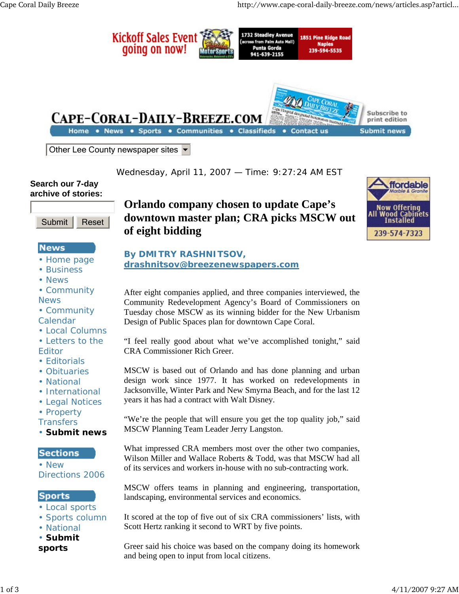

Wednesday, April 11, 2007 — Time: 9:27:24 AM EST

#### **Search our 7-day archive of stories:**



## **News**

- Home page
- Business
- News
- Community News
- Community Calendar
- Local Columns
- Letters to the Editor
- Editorials
- Obituaries
- National
- International
- Legal Notices
- Property

**Transfers** 

• **Submit news**

## **Sections**

• New Directions 2006

## **Sports**

- Local sports
- Sports column
- National
- **Submit**
- **sports**

# **Orlando company chosen to update Cape's downtown master plan; CRA picks MSCW out of eight bidding**



## **By DMITRY RASHNITSOV,**

## **drashnitsov@breezenewspapers.com**

After eight companies applied, and three companies interviewed, the Community Redevelopment Agency's Board of Commissioners on Tuesday chose MSCW as its winning bidder for the New Urbanism Design of Public Spaces plan for downtown Cape Coral.

"I feel really good about what we've accomplished tonight," said CRA Commissioner Rich Greer.

MSCW is based out of Orlando and has done planning and urban design work since 1977. It has worked on redevelopments in Jacksonville, Winter Park and New Smyrna Beach, and for the last 12 years it has had a contract with Walt Disney.

"We're the people that will ensure you get the top quality job," said MSCW Planning Team Leader Jerry Langston.

What impressed CRA members most over the other two companies, Wilson Miller and Wallace Roberts & Todd, was that MSCW had all of its services and workers in-house with no sub-contracting work.

MSCW offers teams in planning and engineering, transportation, landscaping, environmental services and economics.

It scored at the top of five out of six CRA commissioners' lists, with Scott Hertz ranking it second to WRT by five points.

Greer said his choice was based on the company doing its homework and being open to input from local citizens.